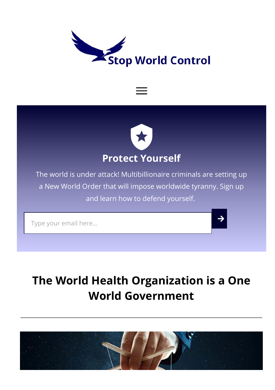<span id="page-0-0"></span>





The world is under attack! Multibillionaire criminals are setting up a New World Order that will impose worldwide tyranny. Sign up and learn how to defend yourself.

Type your email here...

# The World Health [Organization](#page-0-0) is a One World [Government](#page-0-0)

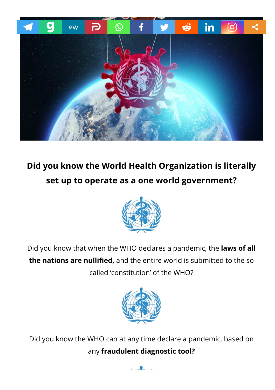

# Did you know the World Health Organization is literally set up to operate as a one world government?



Did you know that when the WHO declares a pandemic, the laws of all the nations are nullified, and the entire world is submitted to the so called 'constitution' of the WHO?



Did you know the WHO can at any time declare a pandemic, based on any [fraudulent](https://stopworldcontrol.com/who/) diagnostic tool?

 $\overline{\phantom{a}}$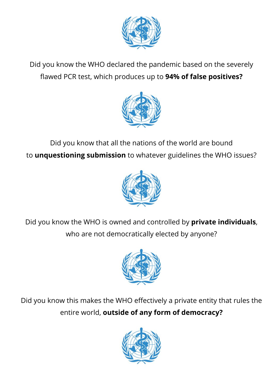

Did you know the WHO declared the pandemic based on the severely flawed PCR test, which produces up to 94% of false positives?



Did you know that all the nations of the world are bound to **unquestioning submission** to whatever guidelines the WHO issues?



Did you know the WHO is owned and controlled by private individuals, who are not democratically elected by anyone?



Did you know this makes the WHO effectively a private entity that rules the entire world, outside of any form of democracy?

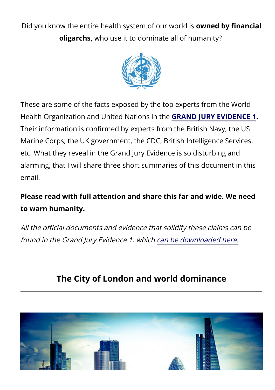Did you know the entire health system of our world is **owned by financial** oligarchs, who use it to dominate all of humanity?



These are some of the facts exposed by the top experts from the World Health Organization and United Nations in the GRAND JURY [EVIDENCE](https://stopworldcontrol.com/jury/) 1. Their information is confirmed by experts from the British Navy, the US Marine Corps, the UK government, the CDC, British Intelligence Services, etc. What they reveal in the Grand Jury Evidence is so disturbing and alarming, that I will share three short summaries of this document in this email.

#### Please read with full attention and share this far and wide. We need to warn humanity.

All the official documents and evidence that solidify these claims can be found in the Grand Jury Evidence 1, which can be [downloaded](https://loj291.infusionsoft.com/app/bardEmailFunnel/~Link-5769589~) here.

## The City of London and world dominance

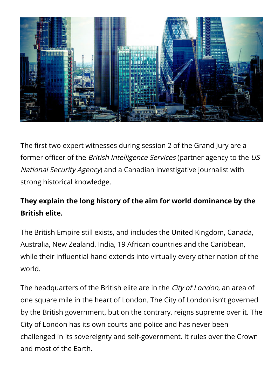

The first two expert witnesses during session 2 of the Grand Jury are a former officer of the *British Intelligence Services* (partner agency to the US National Security Agency) and a Canadian investigative journalist with strong historical knowledge.

#### They explain the long history of the aim for world dominance by the British elite.

The British Empire still exists, and includes the United Kingdom, Canada, Australia, New Zealand, India, 19 African countries and the Caribbean, while their influential hand extends into virtually every other nation of the world.

The headquarters of the British elite are in the City of London, an area of one square mile in the heart of London. The City of London isn't governed by the British government, but on the contrary, reigns supreme over it. The City of London has its own courts and police and has never been challenged in its sovereignty and self-government. It rules over the Crown and most of the Earth.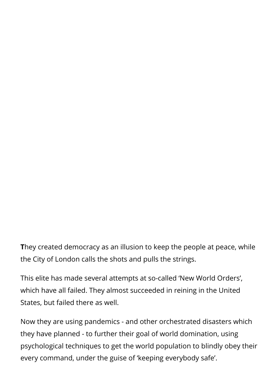They created democracy as an illusion to keep the people at peace, while the City of London calls the shots and pulls the strings.

This elite has made several attempts at so-called 'New World Orders', which have all failed. They almost succeeded in reining in the United States, but failed there as well.

Now they are using pandemics - and other orchestrated disasters which they have planned - to further their goal of world domination, using psychological techniques to get the world population to blindly obey their every command, under the guise of 'keeping everybody safe'.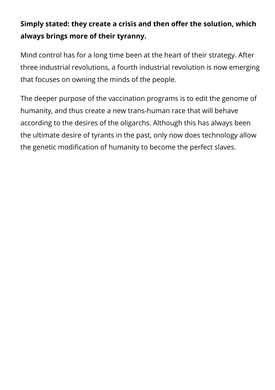#### Simply stated: they create a crisis and then offer the solution, which always brings more of their tyranny.

Mind control has for a long time been at the heart of their strategy. After three industrial revolutions, a fourth industrial revolution is now emerging that focuses on owning the minds of the people.

The deeper purpose of the vaccination programs is to edit the genome of humanity, and thus create a new trans-human race that will behave according to the desires of the oligarchs. Although this has always been the ultimate desire of tyrants in the past, only now does technology allow the genetic modification of humanity to become the perfect slaves.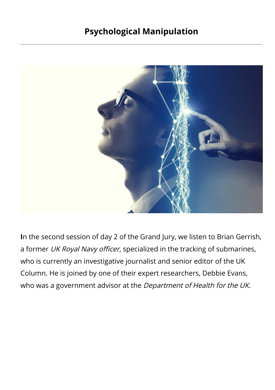#### Psychological Manipulation



In the second session of day 2 of the Grand Jury, we listen to Brian Gerrish, a former UK Royal Navy officer, specialized in the tracking of submarines, who is currently an investigative journalist and senior editor of the UK Column. He is joined by one of their expert researchers, Debbie Evans, who was a government advisor at the Department of Health for the UK.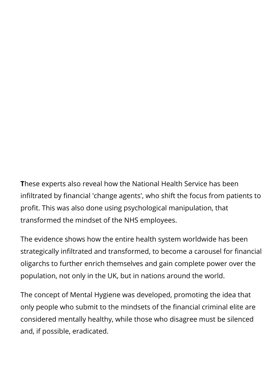These experts also reveal how the National Health Service has been infiltrated by financial 'change agents', who shift the focus from patients to profit. This was also done using psychological manipulation, that transformed the mindset of the NHS employees.

The evidence shows how the entire health system worldwide has been strategically infiltrated and transformed, to become a carousel for financial oligarchs to further enrich themselves and gain complete power over the population, not only in the UK, but in nations around the world.

The concept of Mental Hygiene was developed, promoting the idea that only people who submit to the mindsets of the financial criminal elite are considered mentally healthy, while those who disagree must be silenced and, if possible, eradicated.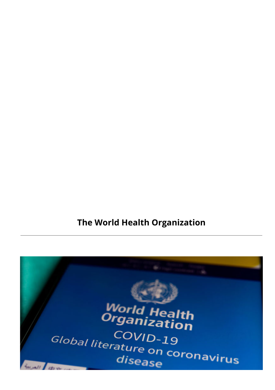#### The World Health Organization

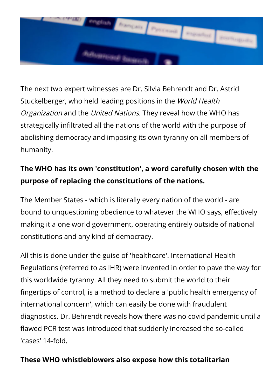

The next two expert witnesses are Dr. Silvia Behrendt and Dr. Astrid Stuckelberger, who held leading positions in the World Health Organization and the United Nations. They reveal how the WHO has strategically infiltrated all the nations of the world with the purpose of abolishing democracy and imposing its own tyranny on all members of humanity.

#### The WHO has its own 'constitution', a word carefully chosen with the purpose of replacing the constitutions of the nations.

The Member States - which is literally every nation of the world - are bound to unquestioning obedience to whatever the WHO says, effectively making it a one world government, operating entirely outside of national constitutions and any kind of democracy.

All this is done under the guise of 'healthcare'. International Health Regulations (referred to as IHR) were invented in order to pave the way for this worldwide tyranny. All they need to submit the world to their fingertips of control, is a method to declare a 'public health emergency of international concern', which can easily be done with fraudulent diagnostics. Dr. Behrendt reveals how there was no covid pandemic until a flawed PCR test was introduced that suddenly increased the so-called 'cases' 14-fold.

#### These WHO whistleblowers also expose how this totalitarian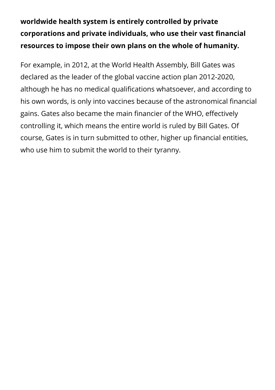### worldwide health system is entirely controlled by private corporations and private individuals, who use their vast financial resources to impose their own plans on the whole of humanity.

For example, in 2012, at the World Health Assembly, Bill Gates was declared as the leader of the global vaccine action plan 2012-2020, although he has no medical qualifications whatsoever, and according to his own words, is only into vaccines because of the astronomical financial gains. Gates also became the main financier of the WHO, effectively controlling it, which means the entire world is ruled by Bill Gates. Of course, Gates is in turn submitted to other, higher up financial entities, who use him to submit the world to their tyranny.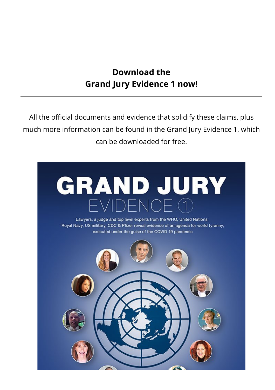#### Download the Grand Jury Evidence 1 now!

All the official documents and evidence that solidify these claims, plus much more information can be found in the Grand Jury Evidence 1, which can be downloaded for free.

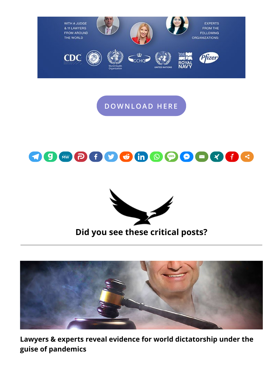

[DOWNLOA](https://stopworldcontrol.com/?p=31038)D HERE





#### Did you see these critical posts?



Lawyers & experts reveal evidence for world [dictatorship](https://stopworldcontrol.com/jury/) under the guise of [pandemics](https://stopworldcontrol.com/jury/)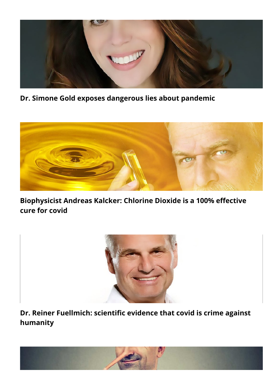

Dr. Simone Gold exposes [dangerous](https://stopworldcontrol.com/gold/) lies about pandemic



[Biophysicist](https://stopworldcontrol.com/cds/) Andreas Kalcker: Chlorine Dioxide is a 100% effective cure for [covid](https://stopworldcontrol.com/cds/)



Dr. Reiner [Fuellmich:](https://stopworldcontrol.com/fuellmich/) scientific evidence that covid is crime against [humanity](https://stopworldcontrol.com/fuellmich/)

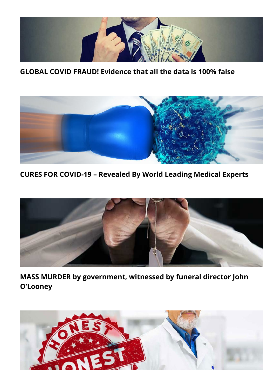

GLOBAL COVID FRAUD! [Evidence](https://stopworldcontrol.com/fraud/) that all the data is 100% false



CURES FOR [COVID-19](https://stopworldcontrol.com/cures/) – Revealed By World Leading Medical Experts



MASS MURDER by [government,](https://stopworldcontrol.com/director/) witnessed by funeral director John [O'Looney](https://stopworldcontrol.com/director/)

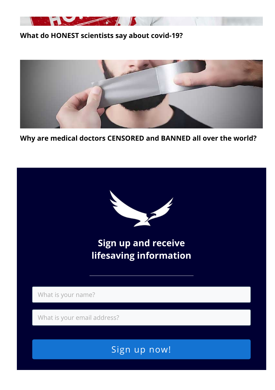

#### What do HONEST [scientists](https://stopworldcontrol.com/science/) say about covid-19?



Why are medical doctors [CENSORED](https://stopworldcontrol.com/censored/) and BANNED all over the world?